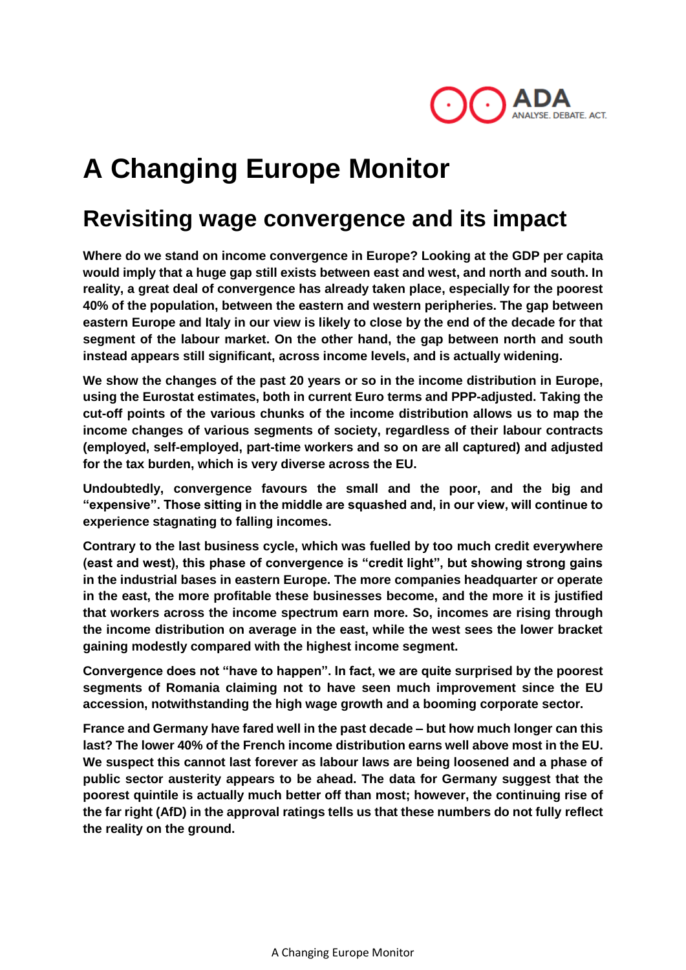

# **A Changing Europe Monitor**

### **Revisiting wage convergence and its impact**

**Where do we stand on income convergence in Europe? Looking at the GDP per capita would imply that a huge gap still exists between east and west, and north and south. In reality, a great deal of convergence has already taken place, especially for the poorest 40% of the population, between the eastern and western peripheries. The gap between eastern Europe and Italy in our view is likely to close by the end of the decade for that segment of the labour market. On the other hand, the gap between north and south instead appears still significant, across income levels, and is actually widening.**

**We show the changes of the past 20 years or so in the income distribution in Europe, using the Eurostat estimates, both in current Euro terms and PPP-adjusted. Taking the cut-off points of the various chunks of the income distribution allows us to map the income changes of various segments of society, regardless of their labour contracts (employed, self-employed, part-time workers and so on are all captured) and adjusted for the tax burden, which is very diverse across the EU.**

**Undoubtedly, convergence favours the small and the poor, and the big and "expensive". Those sitting in the middle are squashed and, in our view, will continue to experience stagnating to falling incomes.** 

**Contrary to the last business cycle, which was fuelled by too much credit everywhere (east and west), this phase of convergence is "credit light", but showing strong gains in the industrial bases in eastern Europe. The more companies headquarter or operate in the east, the more profitable these businesses become, and the more it is justified that workers across the income spectrum earn more. So, incomes are rising through the income distribution on average in the east, while the west sees the lower bracket gaining modestly compared with the highest income segment.** 

**Convergence does not "have to happen". In fact, we are quite surprised by the poorest segments of Romania claiming not to have seen much improvement since the EU accession, notwithstanding the high wage growth and a booming corporate sector.**

**France and Germany have fared well in the past decade – but how much longer can this last? The lower 40% of the French income distribution earns well above most in the EU. We suspect this cannot last forever as labour laws are being loosened and a phase of public sector austerity appears to be ahead. The data for Germany suggest that the poorest quintile is actually much better off than most; however, the continuing rise of the far right (AfD) in the approval ratings tells us that these numbers do not fully reflect the reality on the ground.**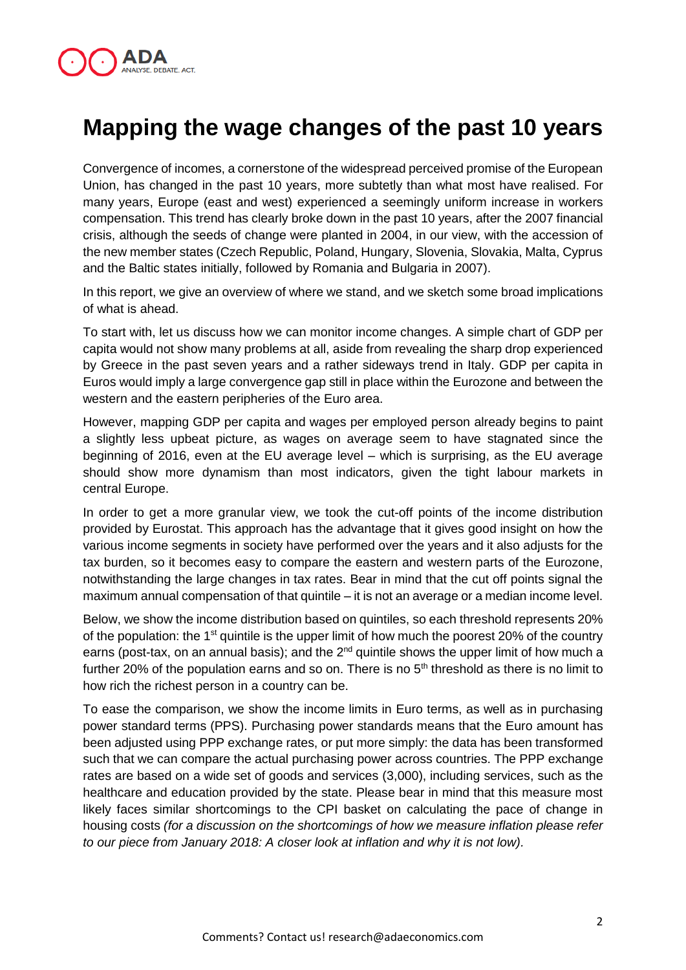

## **Mapping the wage changes of the past 10 years**

Convergence of incomes, a cornerstone of the widespread perceived promise of the European Union, has changed in the past 10 years, more subtetly than what most have realised. For many years, Europe (east and west) experienced a seemingly uniform increase in workers compensation. This trend has clearly broke down in the past 10 years, after the 2007 financial crisis, although the seeds of change were planted in 2004, in our view, with the accession of the new member states (Czech Republic, Poland, Hungary, Slovenia, Slovakia, Malta, Cyprus and the Baltic states initially, followed by Romania and Bulgaria in 2007).

In this report, we give an overview of where we stand, and we sketch some broad implications of what is ahead.

To start with, let us discuss how we can monitor income changes. A simple chart of GDP per capita would not show many problems at all, aside from revealing the sharp drop experienced by Greece in the past seven years and a rather sideways trend in Italy. GDP per capita in Euros would imply a large convergence gap still in place within the Eurozone and between the western and the eastern peripheries of the Euro area.

However, mapping GDP per capita and wages per employed person already begins to paint a slightly less upbeat picture, as wages on average seem to have stagnated since the beginning of 2016, even at the EU average level – which is surprising, as the EU average should show more dynamism than most indicators, given the tight labour markets in central Europe.

In order to get a more granular view, we took the cut-off points of the income distribution provided by Eurostat. This approach has the advantage that it gives good insight on how the various income segments in society have performed over the years and it also adjusts for the tax burden, so it becomes easy to compare the eastern and western parts of the Eurozone, notwithstanding the large changes in tax rates. Bear in mind that the cut off points signal the maximum annual compensation of that quintile – it is not an average or a median income level.

Below, we show the income distribution based on quintiles, so each threshold represents 20% of the population: the 1<sup>st</sup> quintile is the upper limit of how much the poorest 20% of the country earns (post-tax, on an annual basis); and the 2<sup>nd</sup> quintile shows the upper limit of how much a further 20% of the population earns and so on. There is no  $5<sup>th</sup>$  threshold as there is no limit to how rich the richest person in a country can be.

To ease the comparison, we show the income limits in Euro terms, as well as in purchasing power standard terms (PPS). Purchasing power standards means that the Euro amount has been adjusted using PPP exchange rates, or put more simply: the data has been transformed such that we can compare the actual purchasing power across countries. The PPP exchange rates are based on a wide set of goods and services (3,000), including services, such as the healthcare and education provided by the state. Please bear in mind that this measure most likely faces similar shortcomings to the CPI basket on calculating the pace of change in housing costs *(for a discussion on the shortcomings of how we measure inflation please refer to our piece from January 2018: A closer look at inflation and why it is not low).*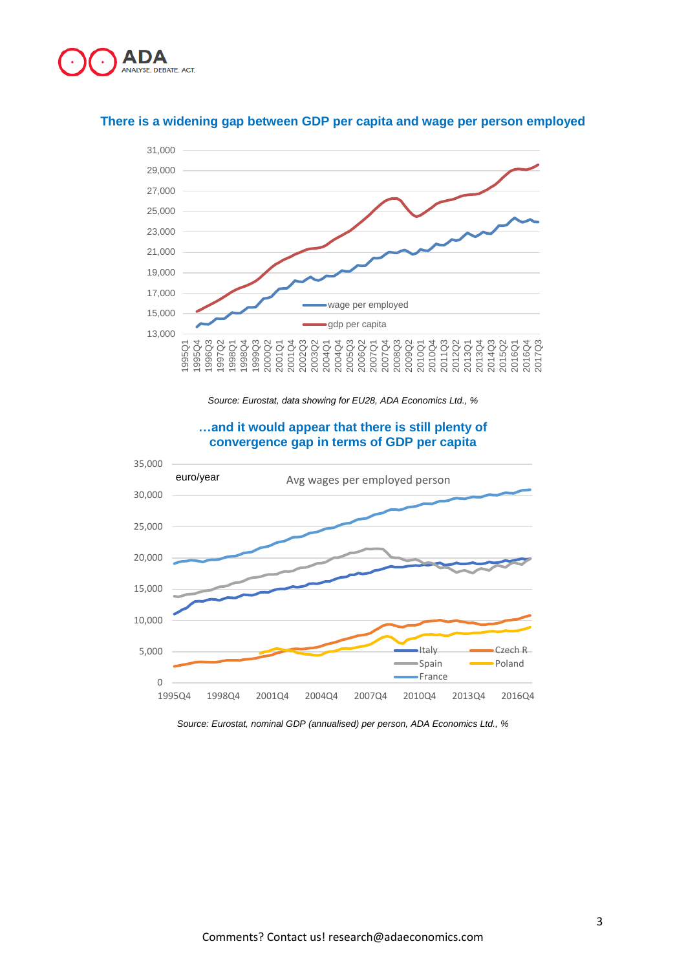



#### **There is a widening gap between GDP per capita and wage per person employed**

*Source: Eurostat, data showing for EU28, ADA Economics Ltd., %*



#### **…and it would appear that there is still plenty of convergence gap in terms of GDP per capita**

*Source: Eurostat, nominal GDP (annualised) per person, ADA Economics Ltd., %*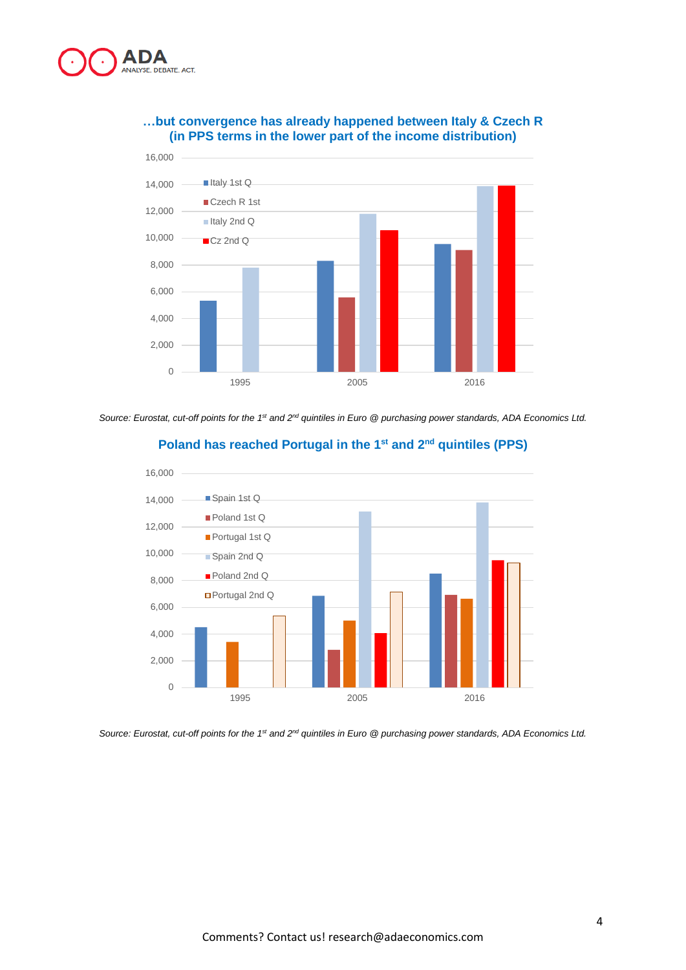

#### **…but convergence has already happened between Italy & Czech R (in PPS terms in the lower part of the income distribution)**



Source: Eurostat, cut-off points for the 1<sup>st</sup> and 2<sup>nd</sup> quintiles in Euro @ purchasing power standards, ADA Economics Ltd.



#### **Poland has reached Portugal in the 1 st and 2 nd quintiles (PPS)**

*Source: Eurostat, cut-off points for the 1st and 2nd quintiles in Euro @ purchasing power standards, ADA Economics Ltd.*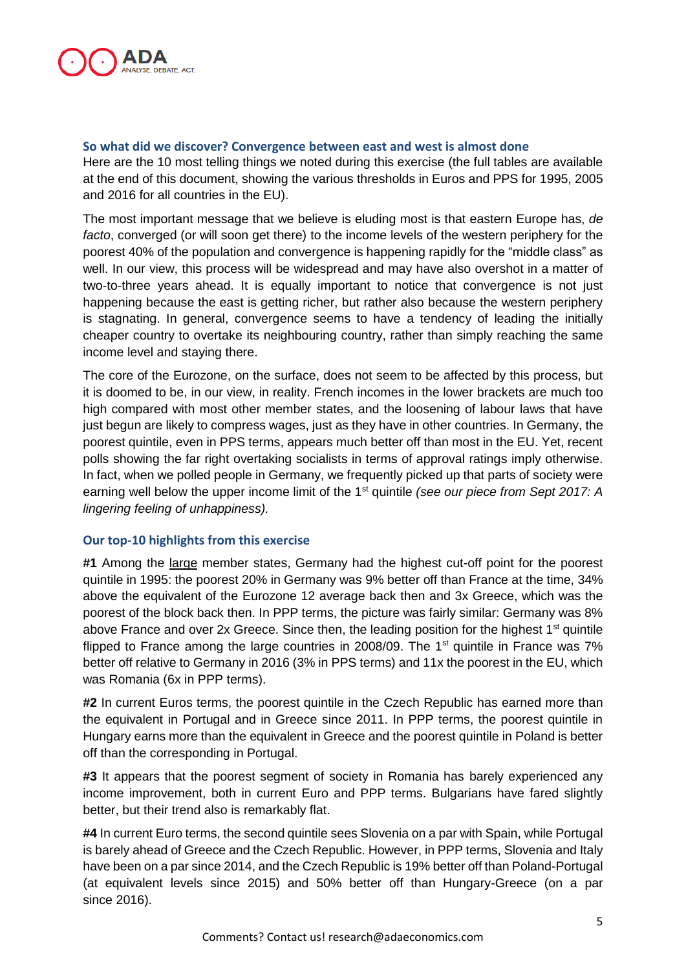

#### **So what did we discover? Convergence between east and west is almost done**

Here are the 10 most telling things we noted during this exercise (the full tables are available at the end of this document, showing the various thresholds in Euros and PPS for 1995, 2005 and 2016 for all countries in the EU).

The most important message that we believe is eluding most is that eastern Europe has, *de facto*, converged (or will soon get there) to the income levels of the western periphery for the poorest 40% of the population and convergence is happening rapidly for the "middle class" as well. In our view, this process will be widespread and may have also overshot in a matter of two-to-three years ahead. It is equally important to notice that convergence is not just happening because the east is getting richer, but rather also because the western periphery is stagnating. In general, convergence seems to have a tendency of leading the initially cheaper country to overtake its neighbouring country, rather than simply reaching the same income level and staying there.

The core of the Eurozone, on the surface, does not seem to be affected by this process, but it is doomed to be, in our view, in reality. French incomes in the lower brackets are much too high compared with most other member states, and the loosening of labour laws that have just begun are likely to compress wages, just as they have in other countries. In Germany, the poorest quintile, even in PPS terms, appears much better off than most in the EU. Yet, recent polls showing the far right overtaking socialists in terms of approval ratings imply otherwise. In fact, when we polled people in Germany, we frequently picked up that parts of society were earning well below the upper income limit of the 1st quintile *(see our piece from Sept 2017: A lingering feeling of unhappiness).* 

#### **Our top-10 highlights from this exercise**

**#1** Among the large member states, Germany had the highest cut-off point for the poorest quintile in 1995: the poorest 20% in Germany was 9% better off than France at the time, 34% above the equivalent of the Eurozone 12 average back then and 3x Greece, which was the poorest of the block back then. In PPP terms, the picture was fairly similar: Germany was 8% above France and over  $2x$  Greece. Since then, the leading position for the highest  $1<sup>st</sup>$  quintile flipped to France among the large countries in 2008/09. The  $1<sup>st</sup>$  quintile in France was 7% better off relative to Germany in 2016 (3% in PPS terms) and 11x the poorest in the EU, which was Romania (6x in PPP terms).

**#2** In current Euros terms, the poorest quintile in the Czech Republic has earned more than the equivalent in Portugal and in Greece since 2011. In PPP terms, the poorest quintile in Hungary earns more than the equivalent in Greece and the poorest quintile in Poland is better off than the corresponding in Portugal.

**#3** It appears that the poorest segment of society in Romania has barely experienced any income improvement, both in current Euro and PPP terms. Bulgarians have fared slightly better, but their trend also is remarkably flat.

**#4** In current Euro terms, the second quintile sees Slovenia on a par with Spain, while Portugal is barely ahead of Greece and the Czech Republic. However, in PPP terms, Slovenia and Italy have been on a par since 2014, and the Czech Republic is 19% better off than Poland-Portugal (at equivalent levels since 2015) and 50% better off than Hungary-Greece (on a par since 2016).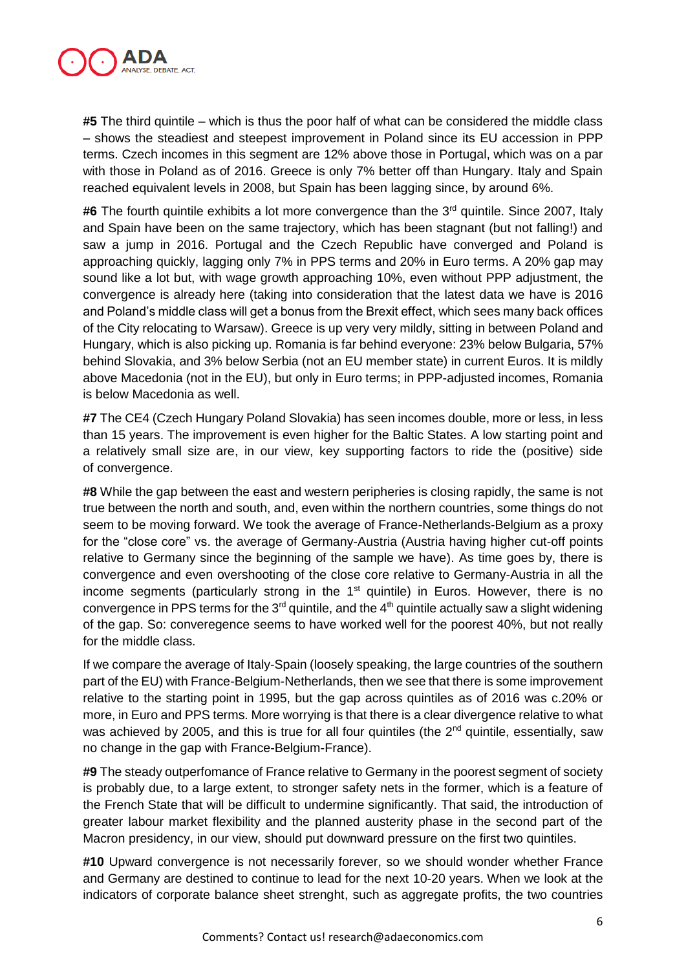

**#5** The third quintile – which is thus the poor half of what can be considered the middle class – shows the steadiest and steepest improvement in Poland since its EU accession in PPP terms. Czech incomes in this segment are 12% above those in Portugal, which was on a par with those in Poland as of 2016. Greece is only 7% better off than Hungary. Italy and Spain reached equivalent levels in 2008, but Spain has been lagging since, by around 6%.

#6 The fourth quintile exhibits a lot more convergence than the 3<sup>rd</sup> quintile. Since 2007, Italy and Spain have been on the same trajectory, which has been stagnant (but not falling!) and saw a jump in 2016. Portugal and the Czech Republic have converged and Poland is approaching quickly, lagging only 7% in PPS terms and 20% in Euro terms. A 20% gap may sound like a lot but, with wage growth approaching 10%, even without PPP adjustment, the convergence is already here (taking into consideration that the latest data we have is 2016 and Poland's middle class will get a bonus from the Brexit effect, which sees many back offices of the City relocating to Warsaw). Greece is up very very mildly, sitting in between Poland and Hungary, which is also picking up. Romania is far behind everyone: 23% below Bulgaria, 57% behind Slovakia, and 3% below Serbia (not an EU member state) in current Euros. It is mildly above Macedonia (not in the EU), but only in Euro terms; in PPP-adjusted incomes, Romania is below Macedonia as well.

**#7** The CE4 (Czech Hungary Poland Slovakia) has seen incomes double, more or less, in less than 15 years. The improvement is even higher for the Baltic States. A low starting point and a relatively small size are, in our view, key supporting factors to ride the (positive) side of convergence.

**#8** While the gap between the east and western peripheries is closing rapidly, the same is not true between the north and south, and, even within the northern countries, some things do not seem to be moving forward. We took the average of France-Netherlands-Belgium as a proxy for the "close core" vs. the average of Germany-Austria (Austria having higher cut-off points relative to Germany since the beginning of the sample we have). As time goes by, there is convergence and even overshooting of the close core relative to Germany-Austria in all the income segments (particularly strong in the  $1<sup>st</sup>$  quintile) in Euros. However, there is no convergence in PPS terms for the  $3<sup>rd</sup>$  quintile, and the  $4<sup>th</sup>$  quintile actually saw a slight widening of the gap. So: converegence seems to have worked well for the poorest 40%, but not really for the middle class.

If we compare the average of Italy-Spain (loosely speaking, the large countries of the southern part of the EU) with France-Belgium-Netherlands, then we see that there is some improvement relative to the starting point in 1995, but the gap across quintiles as of 2016 was c.20% or more, in Euro and PPS terms. More worrying is that there is a clear divergence relative to what was achieved by 2005, and this is true for all four quintiles (the 2<sup>nd</sup> quintile, essentially, saw no change in the gap with France-Belgium-France).

**#9** The steady outperfomance of France relative to Germany in the poorest segment of society is probably due, to a large extent, to stronger safety nets in the former, which is a feature of the French State that will be difficult to undermine significantly. That said, the introduction of greater labour market flexibility and the planned austerity phase in the second part of the Macron presidency, in our view, should put downward pressure on the first two quintiles.

**#10** Upward convergence is not necessarily forever, so we should wonder whether France and Germany are destined to continue to lead for the next 10-20 years. When we look at the indicators of corporate balance sheet strenght, such as aggregate profits, the two countries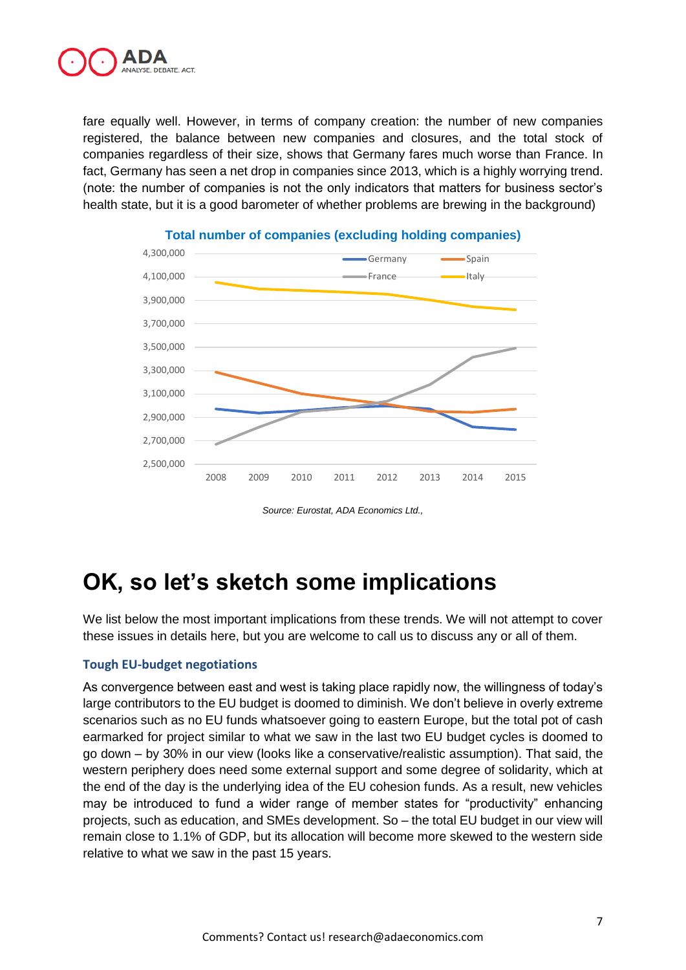

fare equally well. However, in terms of company creation: the number of new companies registered, the balance between new companies and closures, and the total stock of companies regardless of their size, shows that Germany fares much worse than France. In fact, Germany has seen a net drop in companies since 2013, which is a highly worrying trend. (note: the number of companies is not the only indicators that matters for business sector's health state, but it is a good barometer of whether problems are brewing in the background)



#### **Total number of companies (excluding holding companies)**

*Source: Eurostat, ADA Economics Ltd.,* 

## **OK, so let's sketch some implications**

We list below the most important implications from these trends. We will not attempt to cover these issues in details here, but you are welcome to call us to discuss any or all of them.

#### **Tough EU-budget negotiations**

As convergence between east and west is taking place rapidly now, the willingness of today's large contributors to the EU budget is doomed to diminish. We don't believe in overly extreme scenarios such as no EU funds whatsoever going to eastern Europe, but the total pot of cash earmarked for project similar to what we saw in the last two EU budget cycles is doomed to go down – by 30% in our view (looks like a conservative/realistic assumption). That said, the western periphery does need some external support and some degree of solidarity, which at the end of the day is the underlying idea of the EU cohesion funds. As a result, new vehicles may be introduced to fund a wider range of member states for "productivity" enhancing projects, such as education, and SMEs development. So – the total EU budget in our view will remain close to 1.1% of GDP, but its allocation will become more skewed to the western side relative to what we saw in the past 15 years.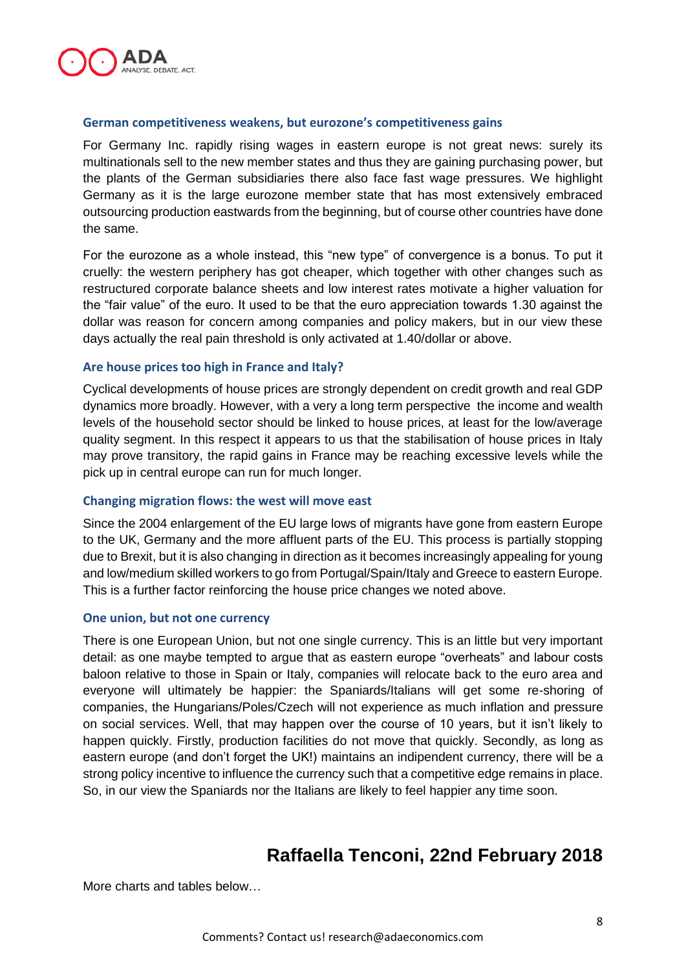

#### **German competitiveness weakens, but eurozone's competitiveness gains**

For Germany Inc. rapidly rising wages in eastern europe is not great news: surely its multinationals sell to the new member states and thus they are gaining purchasing power, but the plants of the German subsidiaries there also face fast wage pressures. We highlight Germany as it is the large eurozone member state that has most extensively embraced outsourcing production eastwards from the beginning, but of course other countries have done the same.

For the eurozone as a whole instead, this "new type" of convergence is a bonus. To put it cruelly: the western periphery has got cheaper, which together with other changes such as restructured corporate balance sheets and low interest rates motivate a higher valuation for the "fair value" of the euro. It used to be that the euro appreciation towards 1.30 against the dollar was reason for concern among companies and policy makers, but in our view these days actually the real pain threshold is only activated at 1.40/dollar or above.

#### **Are house prices too high in France and Italy?**

Cyclical developments of house prices are strongly dependent on credit growth and real GDP dynamics more broadly. However, with a very a long term perspective the income and wealth levels of the household sector should be linked to house prices, at least for the low/average quality segment. In this respect it appears to us that the stabilisation of house prices in Italy may prove transitory, the rapid gains in France may be reaching excessive levels while the pick up in central europe can run for much longer.

#### **Changing migration flows: the west will move east**

Since the 2004 enlargement of the EU large lows of migrants have gone from eastern Europe to the UK, Germany and the more affluent parts of the EU. This process is partially stopping due to Brexit, but it is also changing in direction as it becomes increasingly appealing for young and low/medium skilled workers to go from Portugal/Spain/Italy and Greece to eastern Europe. This is a further factor reinforcing the house price changes we noted above.

#### **One union, but not one currency**

There is one European Union, but not one single currency. This is an little but very important detail: as one maybe tempted to argue that as eastern europe "overheats" and labour costs baloon relative to those in Spain or Italy, companies will relocate back to the euro area and everyone will ultimately be happier: the Spaniards/Italians will get some re-shoring of companies, the Hungarians/Poles/Czech will not experience as much inflation and pressure on social services. Well, that may happen over the course of 10 years, but it isn't likely to happen quickly. Firstly, production facilities do not move that quickly. Secondly, as long as eastern europe (and don't forget the UK!) maintains an indipendent currency, there will be a strong policy incentive to influence the currency such that a competitive edge remains in place. So, in our view the Spaniards nor the Italians are likely to feel happier any time soon.

### **Raffaella Tenconi, 22nd February 2018**

More charts and tables below…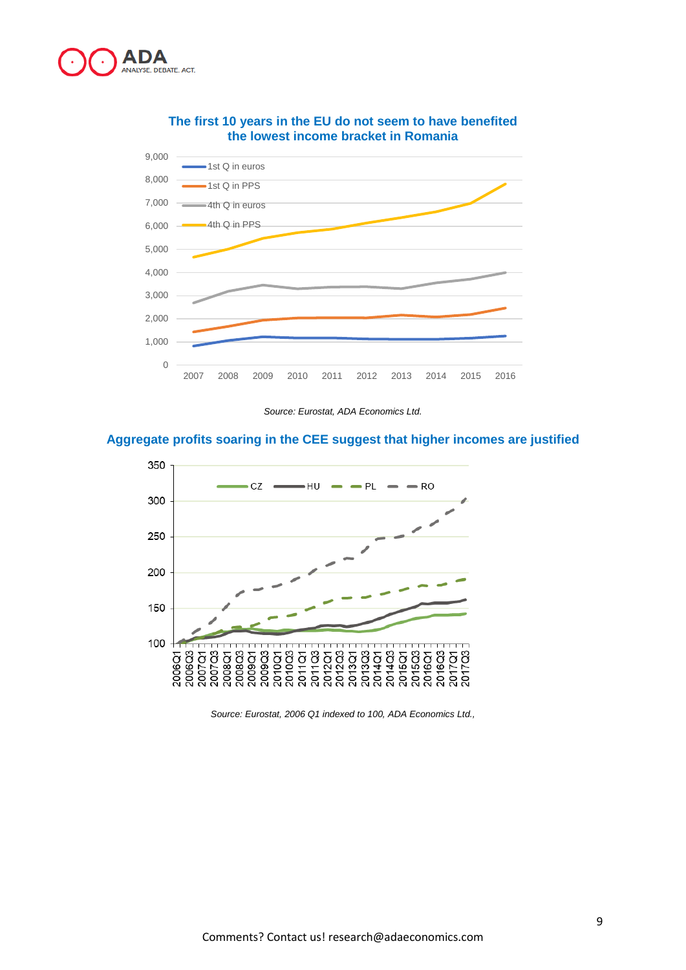



#### **The first 10 years in the EU do not seem to have benefited the lowest income bracket in Romania**

*Source: Eurostat, ADA Economics Ltd.*

#### **Aggregate profits soaring in the CEE suggest that higher incomes are justified**



*Source: Eurostat, 2006 Q1 indexed to 100, ADA Economics Ltd.,*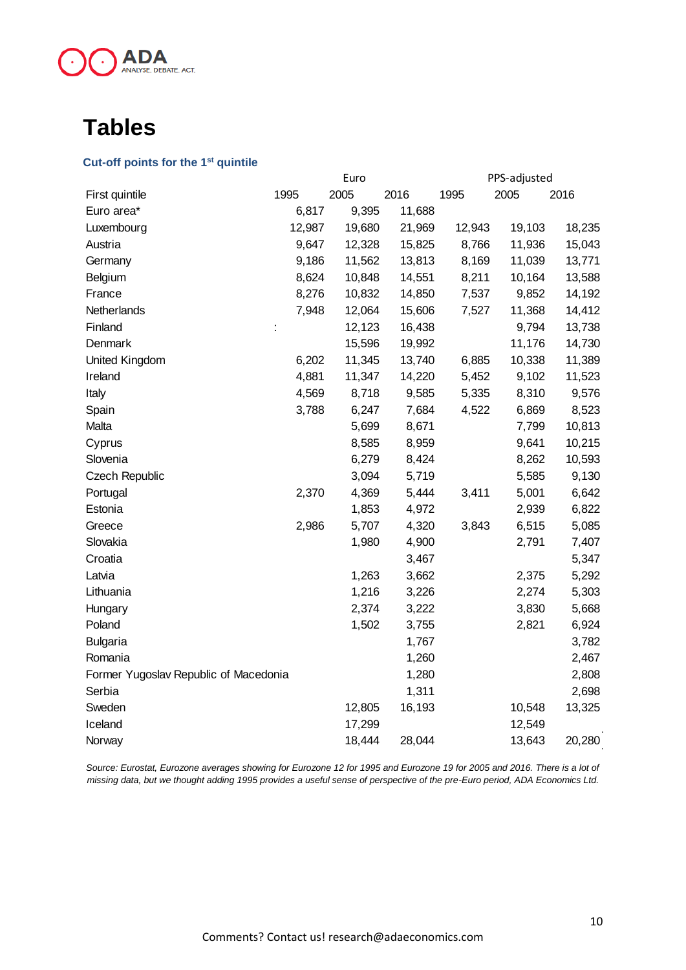

## **Tables**

#### **Cut-off points for the 1st quintile**

|                                       | Euro   |        |        |        | PPS-adjusted |        |  |
|---------------------------------------|--------|--------|--------|--------|--------------|--------|--|
| First quintile                        | 1995   | 2005   | 2016   | 1995   | 2005         | 2016   |  |
| Euro area*                            | 6,817  | 9,395  | 11,688 |        |              |        |  |
| Luxembourg                            | 12,987 | 19,680 | 21,969 | 12,943 | 19,103       | 18,235 |  |
| Austria                               | 9,647  | 12,328 | 15,825 | 8,766  | 11,936       | 15,043 |  |
| Germany                               | 9,186  | 11,562 | 13,813 | 8,169  | 11,039       | 13,771 |  |
| Belgium                               | 8,624  | 10,848 | 14,551 | 8,211  | 10,164       | 13,588 |  |
| France                                | 8,276  | 10,832 | 14,850 | 7,537  | 9,852        | 14,192 |  |
| Netherlands                           | 7,948  | 12,064 | 15,606 | 7,527  | 11,368       | 14,412 |  |
| Finland                               | ÷      | 12,123 | 16,438 |        | 9,794        | 13,738 |  |
| Denmark                               |        | 15,596 | 19,992 |        | 11,176       | 14,730 |  |
| United Kingdom                        | 6,202  | 11,345 | 13,740 | 6,885  | 10,338       | 11,389 |  |
| Ireland                               | 4,881  | 11,347 | 14,220 | 5,452  | 9,102        | 11,523 |  |
| Italy                                 | 4,569  | 8,718  | 9,585  | 5,335  | 8,310        | 9,576  |  |
| Spain                                 | 3,788  | 6,247  | 7,684  | 4,522  | 6,869        | 8,523  |  |
| Malta                                 |        | 5,699  | 8,671  |        | 7,799        | 10,813 |  |
| Cyprus                                |        | 8,585  | 8,959  |        | 9,641        | 10,215 |  |
| Slovenia                              |        | 6,279  | 8,424  |        | 8,262        | 10,593 |  |
| Czech Republic                        |        | 3,094  | 5,719  |        | 5,585        | 9,130  |  |
| Portugal                              | 2,370  | 4,369  | 5,444  | 3,411  | 5,001        | 6,642  |  |
| Estonia                               |        | 1,853  | 4,972  |        | 2,939        | 6,822  |  |
| Greece                                | 2,986  | 5,707  | 4,320  | 3,843  | 6,515        | 5,085  |  |
| Slovakia                              |        | 1,980  | 4,900  |        | 2,791        | 7,407  |  |
| Croatia                               |        |        | 3,467  |        |              | 5,347  |  |
| Latvia                                |        | 1,263  | 3,662  |        | 2,375        | 5,292  |  |
| Lithuania                             |        | 1,216  | 3,226  |        | 2,274        | 5,303  |  |
| Hungary                               |        | 2,374  | 3,222  |        | 3,830        | 5,668  |  |
| Poland                                |        | 1,502  | 3,755  |        | 2,821        | 6,924  |  |
| <b>Bulgaria</b>                       |        |        | 1,767  |        |              | 3,782  |  |
| Romania                               |        |        | 1,260  |        |              | 2,467  |  |
| Former Yugoslav Republic of Macedonia |        |        | 1,280  |        |              | 2,808  |  |
| Serbia                                |        |        | 1,311  |        |              | 2,698  |  |
| Sweden                                |        | 12,805 | 16,193 |        | 10,548       | 13,325 |  |
| Iceland                               |        | 17,299 |        |        | 12,549       |        |  |
| Norway                                |        | 18,444 | 28,044 |        | 13,643       | 20,280 |  |
|                                       |        |        |        |        |              |        |  |

*Source: Eurostat, Eurozone averages showing for Eurozone 12 for 1995 and Eurozone 19 for 2005 and 2016. There is a lot of missing data, but we thought adding 1995 provides a useful sense of perspective of the pre-Euro period, ADA Economics Ltd.*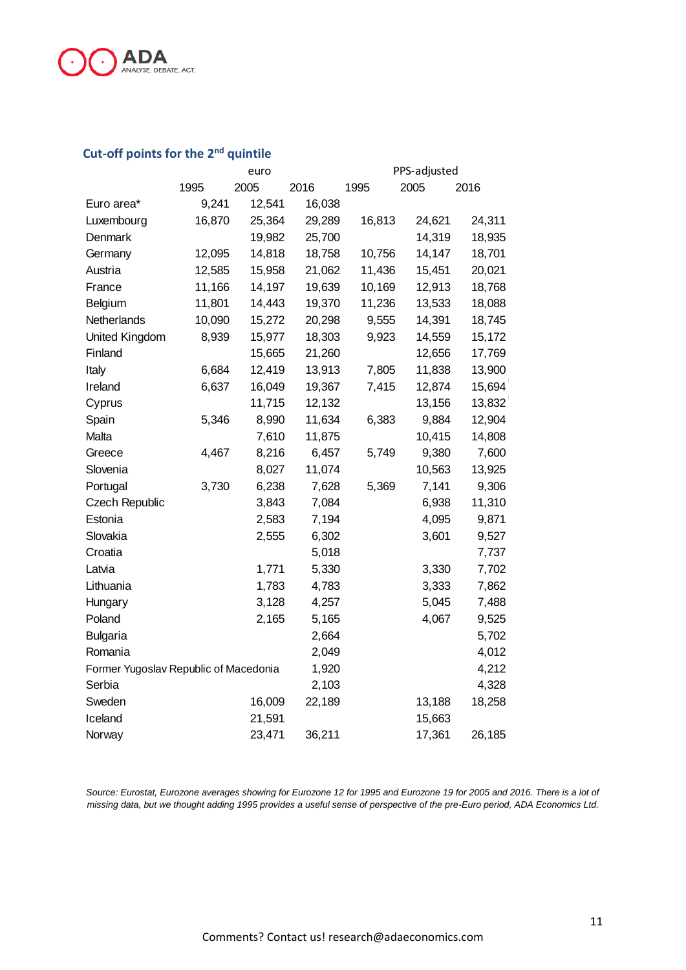

### **Cut-off points for the 2nd quintile**

|                                       | euro   |        |        | PPS-adjusted |        |        |  |
|---------------------------------------|--------|--------|--------|--------------|--------|--------|--|
|                                       | 1995   | 2005   | 2016   | 1995         | 2005   | 2016   |  |
| Euro area*                            | 9,241  | 12,541 | 16,038 |              |        |        |  |
| Luxembourg                            | 16,870 | 25,364 | 29,289 | 16,813       | 24,621 | 24,311 |  |
| Denmark                               |        | 19,982 | 25,700 |              | 14,319 | 18,935 |  |
| Germany                               | 12,095 | 14,818 | 18,758 | 10,756       | 14,147 | 18,701 |  |
| Austria                               | 12,585 | 15,958 | 21,062 | 11,436       | 15,451 | 20,021 |  |
| France                                | 11,166 | 14,197 | 19,639 | 10,169       | 12,913 | 18,768 |  |
| Belgium                               | 11,801 | 14,443 | 19,370 | 11,236       | 13,533 | 18,088 |  |
| Netherlands                           | 10,090 | 15,272 | 20,298 | 9,555        | 14,391 | 18,745 |  |
| United Kingdom                        | 8,939  | 15,977 | 18,303 | 9,923        | 14,559 | 15,172 |  |
| Finland                               |        | 15,665 | 21,260 |              | 12,656 | 17,769 |  |
| Italy                                 | 6,684  | 12,419 | 13,913 | 7,805        | 11,838 | 13,900 |  |
| Ireland                               | 6,637  | 16,049 | 19,367 | 7,415        | 12,874 | 15,694 |  |
| Cyprus                                |        | 11,715 | 12,132 |              | 13,156 | 13,832 |  |
| Spain                                 | 5,346  | 8,990  | 11,634 | 6,383        | 9,884  | 12,904 |  |
| Malta                                 |        | 7,610  | 11,875 |              | 10,415 | 14,808 |  |
| Greece                                | 4,467  | 8,216  | 6,457  | 5,749        | 9,380  | 7,600  |  |
| Slovenia                              |        | 8,027  | 11,074 |              | 10,563 | 13,925 |  |
| Portugal                              | 3,730  | 6,238  | 7,628  | 5,369        | 7,141  | 9,306  |  |
| Czech Republic                        |        | 3,843  | 7,084  |              | 6,938  | 11,310 |  |
| Estonia                               |        | 2,583  | 7,194  |              | 4,095  | 9,871  |  |
| Slovakia                              |        | 2,555  | 6,302  |              | 3,601  | 9,527  |  |
| Croatia                               |        |        | 5,018  |              |        | 7,737  |  |
| Latvia                                |        | 1,771  | 5,330  |              | 3,330  | 7,702  |  |
| Lithuania                             |        | 1,783  | 4,783  |              | 3,333  | 7,862  |  |
| Hungary                               |        | 3,128  | 4,257  |              | 5,045  | 7,488  |  |
| Poland                                |        | 2,165  | 5,165  |              | 4,067  | 9,525  |  |
| <b>Bulgaria</b>                       |        |        | 2,664  |              |        | 5,702  |  |
| Romania                               |        |        | 2,049  |              |        | 4,012  |  |
| Former Yugoslav Republic of Macedonia |        | 1,920  |        |              | 4,212  |        |  |
| Serbia                                |        |        | 2,103  |              |        | 4,328  |  |
| Sweden                                |        | 16,009 | 22,189 |              | 13,188 | 18,258 |  |
| Iceland                               |        | 21,591 |        |              | 15,663 |        |  |
| Norway                                |        | 23,471 | 36,211 |              | 17,361 | 26,185 |  |

Source: Eurostat, Eurozone averages showing for Eurozone 12 for 1995 and Eurozone 19 for 2005 and 2016. There is a lot of *missing data, but we thought adding 1995 provides a useful sense of perspective of the pre-Euro period, ADA Economics Ltd.*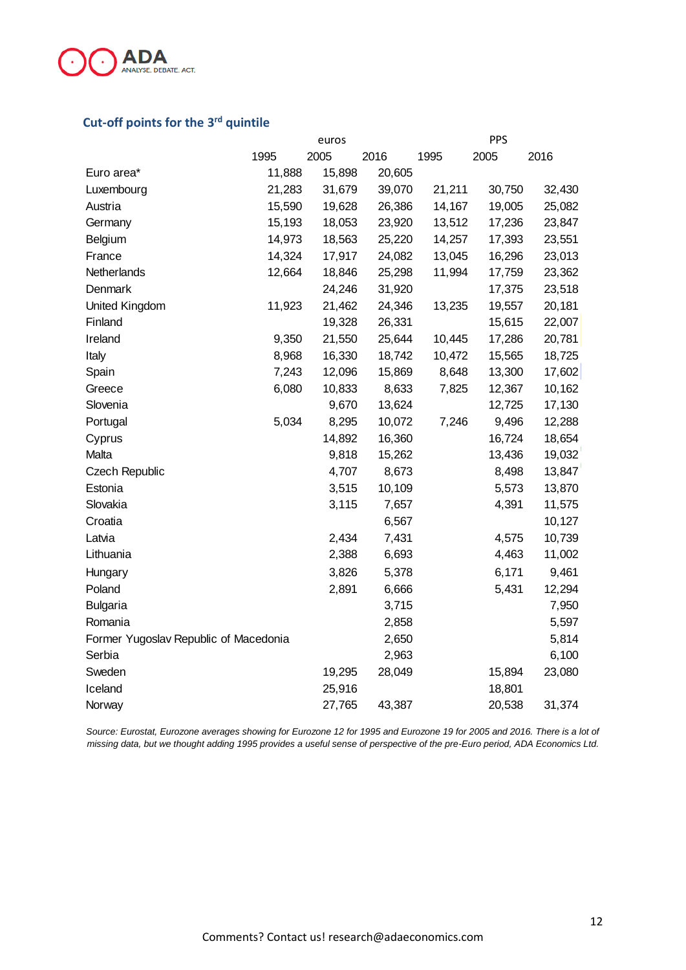

#### **Cut-off points for the 3 rd quintile**

| euros                                 |        |        |        |        |                                                                    |
|---------------------------------------|--------|--------|--------|--------|--------------------------------------------------------------------|
| 1995                                  | 2005   | 2016   | 1995   | 2005   | 2016                                                               |
| 11,888                                | 15,898 | 20,605 |        |        |                                                                    |
| 21,283                                | 31,679 | 39,070 | 21,211 | 30,750 | 32,430                                                             |
| 15,590                                | 19,628 | 26,386 | 14,167 | 19,005 | 25,082                                                             |
| 15,193                                | 18,053 | 23,920 | 13,512 | 17,236 | 23,847                                                             |
| 14,973                                | 18,563 | 25,220 | 14,257 |        | 23,551                                                             |
| 14,324                                | 17,917 | 24,082 | 13,045 | 16,296 | 23,013                                                             |
| 12,664                                | 18,846 | 25,298 | 11,994 | 17,759 | 23,362                                                             |
|                                       | 24,246 | 31,920 |        | 17,375 | 23,518                                                             |
| 11,923                                | 21,462 | 24,346 | 13,235 |        | 20,181                                                             |
|                                       | 19,328 | 26,331 |        | 15,615 | 22,007                                                             |
| 9,350                                 | 21,550 | 25,644 | 10,445 | 17,286 | 20,781                                                             |
| 8,968                                 | 16,330 | 18,742 | 10,472 | 15,565 | 18,725                                                             |
| 7,243                                 | 12,096 | 15,869 | 8,648  | 13,300 | 17,602                                                             |
| 6,080                                 | 10,833 | 8,633  | 7,825  | 12,367 | 10,162                                                             |
|                                       | 9,670  | 13,624 |        | 12,725 | 17,130                                                             |
| 5,034                                 | 8,295  | 10,072 | 7,246  |        | 12,288                                                             |
|                                       | 14,892 | 16,360 |        | 16,724 | 18,654                                                             |
|                                       | 9,818  | 15,262 |        | 13,436 | 19,032                                                             |
|                                       | 4,707  | 8,673  |        |        | 13,847                                                             |
|                                       | 3,515  | 10,109 |        |        | 13,870                                                             |
|                                       | 3,115  | 7,657  |        | 4,391  | 11,575                                                             |
|                                       |        | 6,567  |        |        | 10,127                                                             |
|                                       | 2,434  | 7,431  |        | 4,575  | 10,739                                                             |
|                                       | 2,388  | 6,693  |        |        | 11,002                                                             |
|                                       | 3,826  | 5,378  |        | 6,171  | 9,461                                                              |
|                                       | 2,891  | 6,666  |        | 5,431  | 12,294                                                             |
|                                       |        | 3,715  |        |        | 7,950                                                              |
|                                       |        | 2,858  |        |        | 5,597                                                              |
| Former Yugoslav Republic of Macedonia |        | 2,650  |        |        | 5,814                                                              |
|                                       |        | 2,963  |        |        | 6,100                                                              |
|                                       | 19,295 | 28,049 |        | 15,894 | 23,080                                                             |
|                                       | 25,916 |        |        | 18,801 |                                                                    |
|                                       | 27,765 | 43,387 |        | 20,538 | 31,374                                                             |
|                                       |        |        |        |        | <b>PPS</b><br>17,393<br>19,557<br>9,496<br>8,498<br>5,573<br>4,463 |

*Source: Eurostat, Eurozone averages showing for Eurozone 12 for 1995 and Eurozone 19 for 2005 and 2016. There is a lot of missing data, but we thought adding 1995 provides a useful sense of perspective of the pre-Euro period, ADA Economics Ltd.*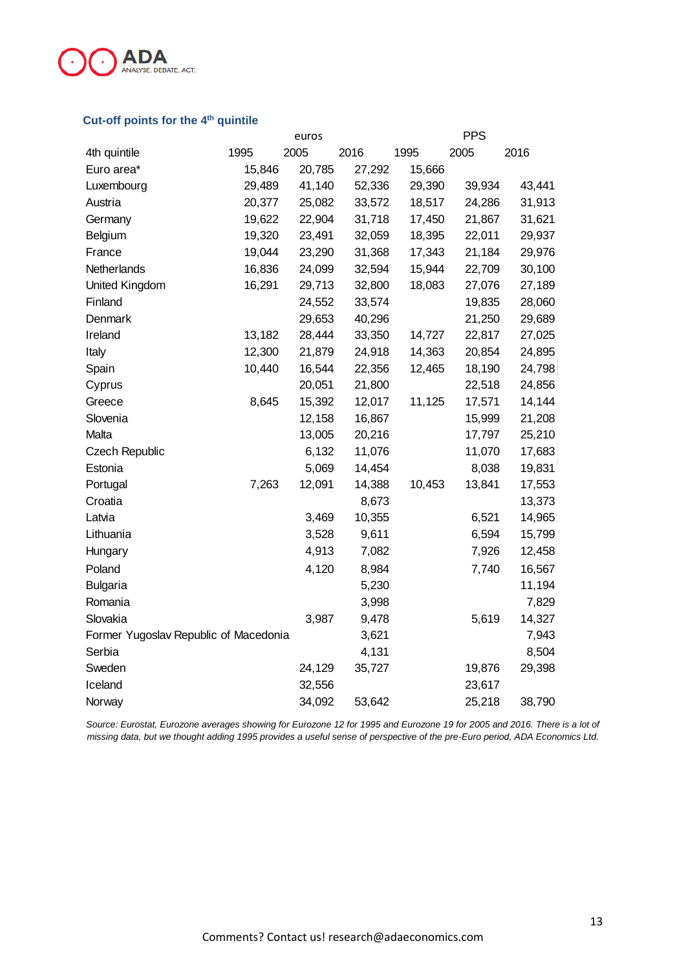

#### **Cut-off points for the 4 th quintile**

|                                       | euros  |        | <b>PPS</b> |        |        |        |
|---------------------------------------|--------|--------|------------|--------|--------|--------|
| 4th quintile                          | 1995   | 2005   | 2016       | 1995   | 2005   | 2016   |
| Euro area*                            | 15,846 | 20,785 | 27,292     | 15,666 |        |        |
| Luxembourg                            | 29,489 | 41,140 | 52,336     | 29,390 | 39,934 | 43,441 |
| Austria                               | 20,377 | 25,082 | 33,572     | 18,517 | 24,286 | 31,913 |
| Germany                               | 19,622 | 22,904 | 31,718     | 17,450 | 21,867 | 31,621 |
| Belgium                               | 19,320 | 23,491 | 32,059     | 18,395 | 22,011 | 29,937 |
| France                                | 19,044 | 23,290 | 31,368     | 17,343 | 21,184 | 29,976 |
| Netherlands                           | 16,836 | 24,099 | 32,594     | 15,944 | 22,709 | 30,100 |
| United Kingdom                        | 16,291 | 29,713 | 32,800     | 18,083 | 27,076 | 27,189 |
| Finland                               |        | 24,552 | 33,574     |        | 19,835 | 28,060 |
| Denmark                               |        | 29,653 | 40,296     |        | 21,250 | 29,689 |
| Ireland                               | 13,182 | 28,444 | 33,350     | 14,727 | 22,817 | 27,025 |
| Italy                                 | 12,300 | 21,879 | 24,918     | 14,363 | 20,854 | 24,895 |
| Spain                                 | 10,440 | 16,544 | 22,356     | 12,465 | 18,190 | 24,798 |
| Cyprus                                |        | 20,051 | 21,800     |        | 22,518 | 24,856 |
| Greece                                | 8,645  | 15,392 | 12,017     | 11,125 | 17,571 | 14,144 |
| Slovenia                              |        | 12,158 | 16,867     |        | 15,999 | 21,208 |
| Malta                                 |        | 13,005 | 20,216     |        | 17,797 | 25,210 |
| <b>Czech Republic</b>                 |        | 6,132  | 11,076     |        | 11,070 | 17,683 |
| Estonia                               |        | 5,069  | 14,454     |        | 8,038  | 19,831 |
| Portugal                              | 7,263  | 12,091 | 14,388     | 10,453 | 13,841 | 17,553 |
| Croatia                               |        |        | 8,673      |        |        | 13,373 |
| Latvia                                |        | 3,469  | 10,355     |        | 6,521  | 14,965 |
| Lithuania                             |        | 3,528  | 9,611      |        | 6,594  | 15,799 |
| Hungary                               |        | 4,913  | 7,082      |        | 7,926  | 12,458 |
| Poland                                |        | 4,120  | 8,984      |        | 7,740  | 16,567 |
| <b>Bulgaria</b>                       |        |        | 5,230      |        |        | 11,194 |
| Romania                               |        |        | 3,998      |        |        | 7,829  |
| Slovakia                              |        | 3,987  | 9,478      |        | 5,619  | 14,327 |
| Former Yugoslav Republic of Macedonia |        |        | 3,621      |        |        | 7,943  |
| Serbia                                |        |        | 4,131      |        |        | 8,504  |
| Sweden                                |        | 24,129 | 35,727     |        | 19,876 | 29,398 |
| Iceland                               |        | 32,556 |            |        | 23,617 |        |
| Norway                                |        | 34,092 | 53,642     |        | 25,218 | 38,790 |

Source: Eurostat, Eurozone averages showing for Eurozone 12 for 1995 and Eurozone 19 for 2005 and 2016. There is a lot of *missing data, but we thought adding 1995 provides a useful sense of perspective of the pre-Euro period, ADA Economics Ltd.*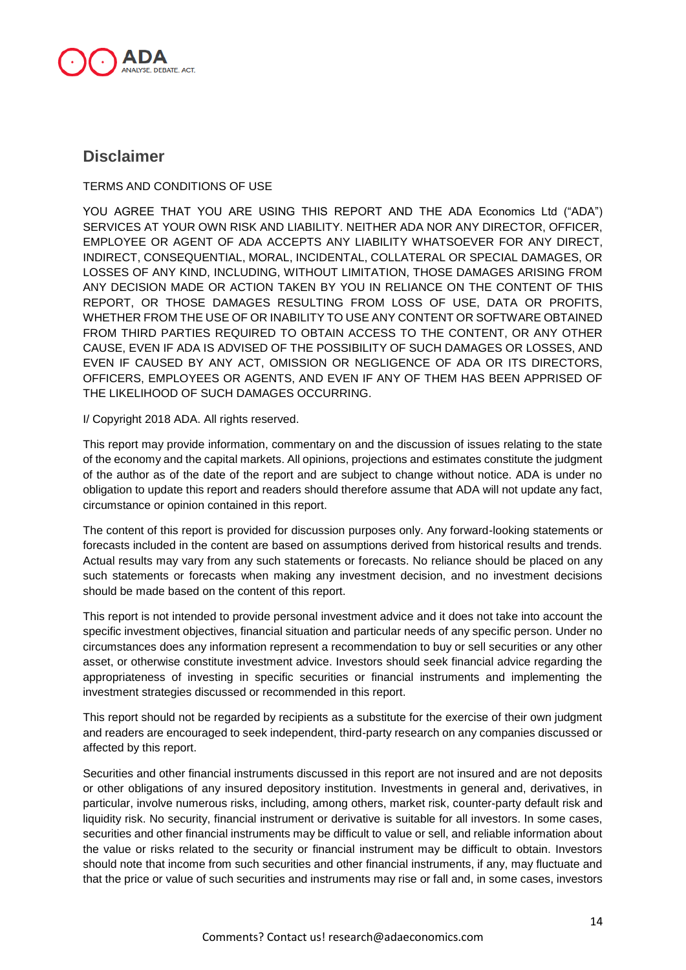

### **Disclaimer**

TERMS AND CONDITIONS OF USE

YOU AGREE THAT YOU ARE USING THIS REPORT AND THE ADA Economics Ltd ("ADA") SERVICES AT YOUR OWN RISK AND LIABILITY. NEITHER ADA NOR ANY DIRECTOR, OFFICER, EMPLOYEE OR AGENT OF ADA ACCEPTS ANY LIABILITY WHATSOEVER FOR ANY DIRECT, INDIRECT, CONSEQUENTIAL, MORAL, INCIDENTAL, COLLATERAL OR SPECIAL DAMAGES, OR LOSSES OF ANY KIND, INCLUDING, WITHOUT LIMITATION, THOSE DAMAGES ARISING FROM ANY DECISION MADE OR ACTION TAKEN BY YOU IN RELIANCE ON THE CONTENT OF THIS REPORT, OR THOSE DAMAGES RESULTING FROM LOSS OF USE, DATA OR PROFITS, WHETHER FROM THE USE OF OR INABILITY TO USE ANY CONTENT OR SOFTWARE OBTAINED FROM THIRD PARTIES REQUIRED TO OBTAIN ACCESS TO THE CONTENT, OR ANY OTHER CAUSE, EVEN IF ADA IS ADVISED OF THE POSSIBILITY OF SUCH DAMAGES OR LOSSES, AND EVEN IF CAUSED BY ANY ACT, OMISSION OR NEGLIGENCE OF ADA OR ITS DIRECTORS, OFFICERS, EMPLOYEES OR AGENTS, AND EVEN IF ANY OF THEM HAS BEEN APPRISED OF THE LIKELIHOOD OF SUCH DAMAGES OCCURRING.

I/ Copyright 2018 ADA. All rights reserved.

This report may provide information, commentary on and the discussion of issues relating to the state of the economy and the capital markets. All opinions, projections and estimates constitute the judgment of the author as of the date of the report and are subject to change without notice. ADA is under no obligation to update this report and readers should therefore assume that ADA will not update any fact, circumstance or opinion contained in this report.

The content of this report is provided for discussion purposes only. Any forward-looking statements or forecasts included in the content are based on assumptions derived from historical results and trends. Actual results may vary from any such statements or forecasts. No reliance should be placed on any such statements or forecasts when making any investment decision, and no investment decisions should be made based on the content of this report.

This report is not intended to provide personal investment advice and it does not take into account the specific investment objectives, financial situation and particular needs of any specific person. Under no circumstances does any information represent a recommendation to buy or sell securities or any other asset, or otherwise constitute investment advice. Investors should seek financial advice regarding the appropriateness of investing in specific securities or financial instruments and implementing the investment strategies discussed or recommended in this report.

This report should not be regarded by recipients as a substitute for the exercise of their own judgment and readers are encouraged to seek independent, third-party research on any companies discussed or affected by this report.

Securities and other financial instruments discussed in this report are not insured and are not deposits or other obligations of any insured depository institution. Investments in general and, derivatives, in particular, involve numerous risks, including, among others, market risk, counter-party default risk and liquidity risk. No security, financial instrument or derivative is suitable for all investors. In some cases, securities and other financial instruments may be difficult to value or sell, and reliable information about the value or risks related to the security or financial instrument may be difficult to obtain. Investors should note that income from such securities and other financial instruments, if any, may fluctuate and that the price or value of such securities and instruments may rise or fall and, in some cases, investors